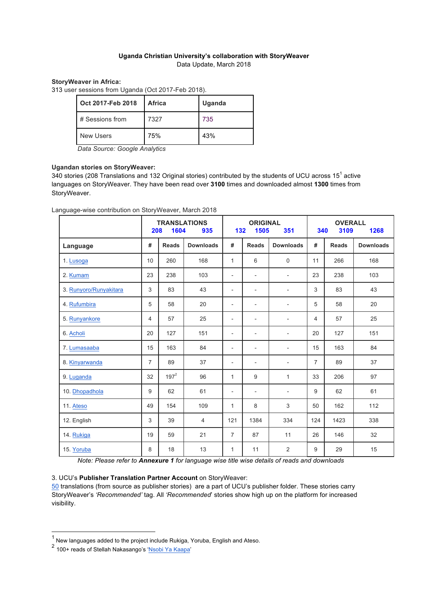### **Uganda Christian University's collaboration with StoryWeaver**  Data Update, March 2018

### **StoryWeaver in Africa:**

313 user sessions from Uganda (Oct 2017-Feb 2018).

| Oct 2017-Feb 2018 | <b>Africa</b> | Uganda |
|-------------------|---------------|--------|
| # Sessions from   | 7327          | 735    |
| <b>New Users</b>  | 75%           | 43%    |

*Data Source: Google Analytics*

#### **Ugandan stories on StoryWeaver:**

340 stories (208 Translations and 132 Original stories) contributed by the students of UCU across 15<sup>1</sup> active languages on StoryWeaver. They have been read over **3100** times and downloaded almost **1300** times from StoryWeaver.

Language-wise contribution on StoryWeaver, March 2018

|                        | <b>TRANSLATIONS</b><br>1604<br>208<br>935 |              |                  |                          | <b>ORIGINAL</b><br>132<br>1505<br>351 |                          |                | <b>OVERALL</b><br>3109<br>1268<br>340 |                  |  |
|------------------------|-------------------------------------------|--------------|------------------|--------------------------|---------------------------------------|--------------------------|----------------|---------------------------------------|------------------|--|
| Language               | #                                         | <b>Reads</b> | <b>Downloads</b> | #                        | <b>Reads</b>                          | <b>Downloads</b>         | #              | <b>Reads</b>                          | <b>Downloads</b> |  |
| 1. Lusoga              | 10                                        | 260          | 168              | 1                        | 6                                     | 0                        | 11             | 266                                   | 168              |  |
| 2. Kumam               | 23                                        | 238          | 103              | $\overline{\phantom{a}}$ | $\overline{\phantom{0}}$              | $\overline{\phantom{a}}$ | 23             | 238                                   | 103              |  |
| 3. Runyoro/Runyakitara | 3                                         | 83           | 43               | $\overline{\phantom{a}}$ | $\overline{\phantom{0}}$              | $\overline{\phantom{a}}$ | 3              | 83                                    | 43               |  |
| 4. Rufumbira           | 5                                         | 58           | 20               | $\overline{\phantom{a}}$ | $\overline{\phantom{0}}$              | $\overline{\phantom{a}}$ | 5              | 58                                    | 20               |  |
| 5. Runyankore          | 4                                         | 57           | 25               | $\overline{\phantom{a}}$ | $\overline{\phantom{0}}$              | $\overline{\phantom{a}}$ | 4              | 57                                    | 25               |  |
| 6. Acholi              | 20                                        | 127          | 151              | $\overline{\phantom{a}}$ | $\overline{\phantom{0}}$              | $\overline{a}$           | 20             | 127                                   | 151              |  |
| 7. Lumasaaba           | 15                                        | 163          | 84               | $\overline{\phantom{a}}$ | $\overline{\phantom{0}}$              | $\overline{\phantom{a}}$ | 15             | 163                                   | 84               |  |
| 8. Kinyarwanda         | $\overline{7}$                            | 89           | 37               | $\overline{\phantom{a}}$ | $\overline{\phantom{0}}$              | $\overline{\phantom{a}}$ | $\overline{7}$ | 89                                    | 37               |  |
| 9. Luganda             | 32                                        | $197^2$      | 96               | 1                        | 9                                     | $\mathbf{1}$             | 33             | 206                                   | 97               |  |
| 10. Dhopadhola         | 9                                         | 62           | 61               | $\overline{\phantom{a}}$ | $\overline{\phantom{0}}$              | $\overline{\phantom{a}}$ | 9              | 62                                    | 61               |  |
| 11. Ateso              | 49                                        | 154          | 109              | 1                        | 8                                     | 3                        | 50             | 162                                   | 112              |  |
| 12. English            | 3                                         | 39           | 4                | 121                      | 1384                                  | 334                      | 124            | 1423                                  | 338              |  |
| 14. Rukiga             | 19                                        | 59           | 21               | $\overline{7}$           | 87                                    | 11                       | 26             | 146                                   | 32               |  |
| 15. Yoruba             | 8                                         | 18           | 13               | 1                        | 11                                    | $\overline{2}$           | 9              | 29                                    | 15               |  |

*Note: Please refer to Annexure 1 for language wise title wise details of reads and downloads* 

#### 3. UCU's **Publisher Translation Partner Account** on StoryWeaver:

50 translations (from source as publisher stories) are a part of UCU's publisher folder. These stories carry StoryWeaver's *'Recommended'* tag. All *'Recommended*' stories show high up on the platform for increased visibility.

 $1$  New languages added to the project include Rukiga, Yoruba, English and Ateso.

<sup>2</sup> 100+ reads of Stellah Nakasango's 'Nsobi Ya Kaapa'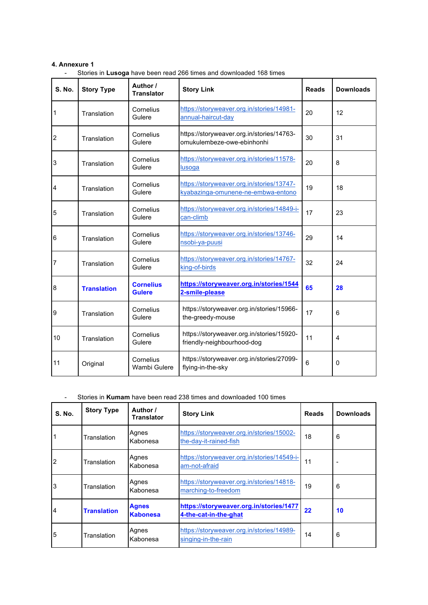### **4. Annexure 1**

|  | Stories in Lusoga have been read 266 times and downloaded 168 times |  |  |  |  |
|--|---------------------------------------------------------------------|--|--|--|--|
|--|---------------------------------------------------------------------|--|--|--|--|

| <b>S. No.</b> | <b>Story Type</b>  | Author /<br><b>Translator</b>     | <b>Story Link</b>                                                               | <b>Reads</b> | <b>Downloads</b> |
|---------------|--------------------|-----------------------------------|---------------------------------------------------------------------------------|--------------|------------------|
| 1             | Translation        | Cornelius<br>Gulere               | https://storyweaver.org.in/stories/14981-<br>annual-haircut-day                 | 20           | 12               |
| 2             | Translation        | Cornelius<br>Gulere               | https://storyweaver.org.in/stories/14763-<br>omukulembeze-owe-ebinhonhi         | 30           | 31               |
| 3             | Translation        | Cornelius<br>Gulere               | https://storyweaver.org.in/stories/11578-<br>lusoga                             | 20           | 8                |
| 4             | Translation        | Cornelius<br>Gulere               | https://storyweaver.org.in/stories/13747-<br>kyabazinga-omunene-ne-embwa-entono | 19           | 18               |
| 5             | Translation        | Cornelius<br>Gulere               | https://storyweaver.org.in/stories/14849-i-<br>can-climb                        | 17           | 23               |
| 6             | Translation        | Cornelius<br>Gulere               | https://storyweaver.org.in/stories/13746-<br>nsobi-ya-puusi                     | 29           | 14               |
| 7             | Translation        | Cornelius<br>Gulere               | https://storyweaver.org.in/stories/14767-<br>king-of-birds                      | 32           | 24               |
| 8             | <b>Translation</b> | <b>Cornelius</b><br><b>Gulere</b> | https://storyweaver.org.in/stories/1544<br>2-smile-please                       | 65           | 28               |
| 9             | Translation        | Cornelius<br>Gulere               | https://storyweaver.org.in/stories/15966-<br>the-greedy-mouse                   | 17           | 6                |
| 10            | Translation        | Cornelius<br>Gulere               | https://storyweaver.org.in/stories/15920-<br>friendly-neighbourhood-dog         | 11           | $\overline{4}$   |
| 11            | Original           | Cornelius<br>Wambi Gulere         | https://storyweaver.org.in/stories/27099-<br>flying-in-the-sky                  | 6            | 0                |

### - Stories in **Kumam** have been read 238 times and downloaded 100 times

| <b>S. No.</b>  | <b>Story Type</b>  | Author /<br>Translator          | <b>Story Link</b>                                                   | <b>Reads</b> | <b>Downloads</b> |
|----------------|--------------------|---------------------------------|---------------------------------------------------------------------|--------------|------------------|
|                | Translation        | Agnes<br>Kabonesa               | https://storyweaver.org.in/stories/15002-<br>the-day-it-rained-fish | 18           | 6                |
| $\overline{2}$ | Translation        | Agnes<br>Kabonesa               | https://storyweaver.org.in/stories/14549-i-<br>am-not-afraid        | 11           |                  |
| 3              | Translation        | Agnes<br>Kabonesa               | https://storyweaver.org.in/stories/14818-<br>marching-to-freedom    | 19           | 6                |
| $\overline{4}$ | <b>Translation</b> | <b>Agnes</b><br><b>Kabonesa</b> | https://storyweaver.org.in/stories/1477<br>4-the-cat-in-the-ghat    | 22           | 10               |
| 5              | Translation        | Agnes<br>Kabonesa               | https://storyweaver.org.in/stories/14989-<br>singing-in-the-rain    | 14           | 6                |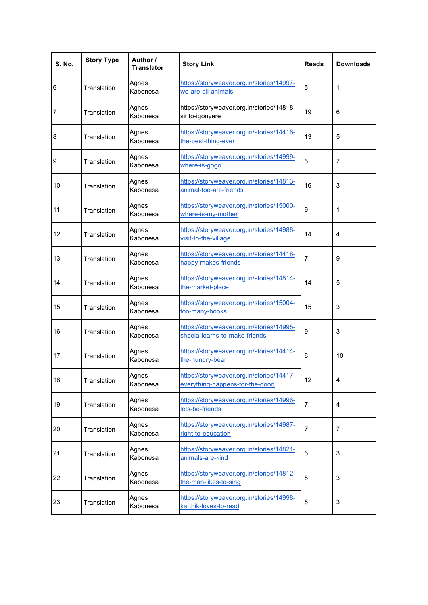| <b>S. No.</b> | <b>Story Type</b> | Author /<br><b>Translator</b> | <b>Story Link</b>                                                            | <b>Reads</b>   | <b>Downloads</b> |
|---------------|-------------------|-------------------------------|------------------------------------------------------------------------------|----------------|------------------|
| 6             | Translation       | Agnes<br>Kabonesa             | https://storyweaver.org.in/stories/14997-<br>we-are-all-animals              | 5              | 1                |
| 7             | Translation       | Agnes<br>Kabonesa             | https://storyweaver.org.in/stories/14818-<br>sirito-igonyere                 | 19             | 6                |
| 8             | Translation       | Agnes<br>Kabonesa             | https://storyweaver.org.in/stories/14416-<br>the-best-thing-ever             | 13             | 5                |
| 9             | Translation       | Agnes<br>Kabonesa             | https://storyweaver.org.in/stories/14999-<br>where-is-gogo                   | 5              | 7                |
| 10            | Translation       | Agnes<br>Kabonesa             | https://storyweaver.org.in/stories/14813-<br>animal-too-are-friends          | 16             | 3                |
| 11            | Translation       | Agnes<br>Kabonesa             | https://storyweaver.org.in/stories/15000-<br>where-is-my-mother              | 9              | 1                |
| 12            | Translation       | Agnes<br>Kabonesa             | https://storyweaver.org.in/stories/14988-<br>visit-to-the-village            | 14             | 4                |
| 13            | Translation       | Agnes<br>Kabonesa             | https://storyweaver.org.in/stories/14418-<br>happy-makes-friends             | $\overline{7}$ | 9                |
| 14            | Translation       | Agnes<br>Kabonesa             | https://storyweaver.org.in/stories/14814-<br>the-market-place                | 14             | 5                |
| 15            | Translation       | Agnes<br>Kabonesa             | https://storyweaver.org.in/stories/15004-<br>too-many-books                  | 15             | 3                |
| 16            | Translation       | Agnes<br>Kabonesa             | https://storyweaver.org.in/stories/14995-<br>sheela-learns-to-make-friends   | 9              | 3                |
| 17            | Translation       | Agnes<br>Kabonesa             | https://storyweaver.org.in/stories/14414-<br>the-hungry-bear                 | 6              | 10               |
| 18            | Translation       | Agnes<br>Kabonesa             | https://storyweaver.org.in/stories/14417-<br>everything-happens-for-the-good | 12             | 4                |
| 19            | Translation       | Agnes<br>Kabonesa             | https://storyweaver.org.in/stories/14996-<br>lets-be-friends                 | $\overline{7}$ | 4                |
| 20            | Translation       | Agnes<br>Kabonesa             | https://storyweaver.org.in/stories/14987-<br>right-to-education              | $\overline{7}$ | $\overline{7}$   |
| 21            | Translation       | Agnes<br>Kabonesa             | https://storyweaver.org.in/stories/14821-<br>animals-are-kind                | 5              | 3                |
| 22            | Translation       | Agnes<br>Kabonesa             | https://storyweaver.org.in/stories/14812-<br>the-man-likes-to-sing           | 5              | $\mathsf 3$      |
| 23            | Translation       | Agnes<br>Kabonesa             | https://storyweaver.org.in/stories/14998-<br>karthik-loves-to-read           | 5              | 3                |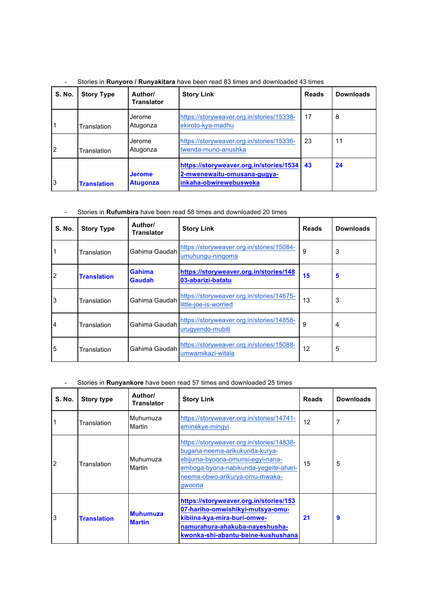|  | Stories in Runyoro / Runyakitara have been read 83 times and downloaded 43 times |  |  |  |  |  |  |
|--|----------------------------------------------------------------------------------|--|--|--|--|--|--|
|--|----------------------------------------------------------------------------------|--|--|--|--|--|--|

| <b>S. No.</b>  | <b>Story Type</b>  | Author/<br><b>Translator</b>     | <b>Story Link</b>                                                                                | <b>Reads</b> | <b>Downloads</b> |
|----------------|--------------------|----------------------------------|--------------------------------------------------------------------------------------------------|--------------|------------------|
|                | Translation        | Jerome<br>Atugonza               | https://storyweaver.org.in/stories/15338-<br>ekiroto-kya-madhu                                   | 17           | 8                |
| $\overline{2}$ | Translation        | Jerome<br>Atugonza               | https://storyweaver.org.in/stories/15336-<br>twenda-muno-anushka                                 | 23           | 11               |
| 3              | <b>Translation</b> | <b>Jerome</b><br><b>Atugonza</b> | https://storyweaver.org.in/stories/1534<br>2-mwenewaitu-omusana-gugya-<br>inkaha-obwirewebusweka | 43           | 24               |

# - Stories in **Rufumbira** have been read 58 times and downloaded 20 times

| <b>S. No.</b> | <b>Story Type</b>  | Author/<br>Translator          | <b>Story Link</b>                                                  | <b>Reads</b> | <b>Downloads</b> |
|---------------|--------------------|--------------------------------|--------------------------------------------------------------------|--------------|------------------|
| 1             | Translation        | Gahima Gaudah                  | https://storyweaver.org.in/stories/15084-<br>umuhungu-ningoma      | 9            | 3                |
| 2             | <b>Translation</b> | <b>Gahima</b><br><b>Gaudah</b> | https://storyweaver.org.in/stories/148<br>03-abarizi-batatu        | 15           | 5                |
| 3             | Translation        | Gahima Gaudah                  | https://storyweaver.org.in/stories/14675-<br>little-joe-is-worried | 13           | 3                |
| 4             | Translation        | Gahima Gaudah                  | https://storyweaver.org.in/stories/14858-<br>urugyendo-mubiti      | 9            | $\overline{4}$   |
| 5             | Translation        | Gahima Gaudah                  | https://storyweaver.org.in/stories/15088-<br>umwamikazi-witala     | 12           | 5                |

# - Stories in **Runyankore** have been read 57 times and downloaded 25 times

| <b>S. No.</b>  | <b>Story type</b>  | Author/<br><b>Translator</b>     | <b>Story Link</b>                                                                                                                                                                                    | <b>Reads</b> | <b>Downloads</b> |
|----------------|--------------------|----------------------------------|------------------------------------------------------------------------------------------------------------------------------------------------------------------------------------------------------|--------------|------------------|
|                | Translation        | Muhumuza<br>Martin               | https://storyweaver.org.in/stories/14741-<br>eminekye-mingyi                                                                                                                                         | 12           | 7                |
| $\overline{2}$ | Translation        | Muhumuza<br>Martin               | https://storyweaver.org.in/stories/14838-<br>bugana-neema-arikukunda-kurya-<br>ebijuma-byoona-omunsi-egyi-nana-<br>emboga-byona-nabikunda-yegeite-ahari-<br>neema-obwo-arikurya-omu-mwaka-<br>gwoona | 15           | 5                |
| 3              | <b>Translation</b> | <b>Muhumuza</b><br><b>Martin</b> | https://storyweaver.org.in/stories/153<br>07-hariho-omwishikyi-mutsya-omu-<br>kibiina-kya-mira-buri-omwe-<br>namurahura-ahakuba-nayeshusha-<br>kwonka-shi-abantu-beine-kushushana                    | 21           | 9                |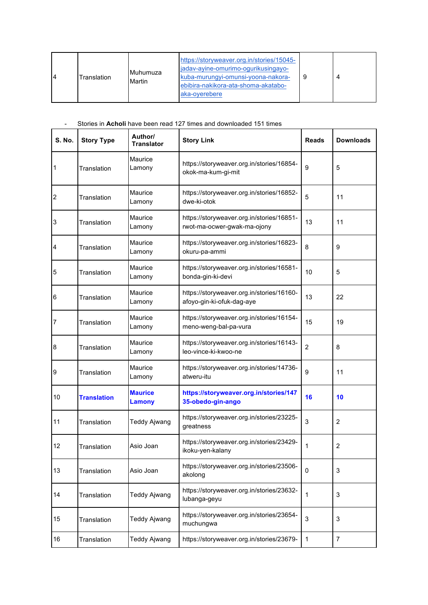| 4 | Translation | <b>IMuhumuza</b><br>Martin | https://storyweaver.org.in/stories/15045-<br>jadav-ayine-omurimo-ogurikusingayo-<br>kuba-murungyi-omunsi-yoona-nakora-<br>ebibira-nakikora-ata-shoma-akatabo-<br>aka-overebere | 9 | Δ |
|---|-------------|----------------------------|--------------------------------------------------------------------------------------------------------------------------------------------------------------------------------|---|---|
|---|-------------|----------------------------|--------------------------------------------------------------------------------------------------------------------------------------------------------------------------------|---|---|

### - Stories in **Acholi** have been read 127 times and downloaded 151 times

| <b>S. No.</b> | <b>Story Type</b>  | Author/<br><b>Translator</b>    | <b>Story Link</b>                                                        | <b>Reads</b>   | <b>Downloads</b> |
|---------------|--------------------|---------------------------------|--------------------------------------------------------------------------|----------------|------------------|
| 1             | Translation        | Maurice<br>Lamony               | https://storyweaver.org.in/stories/16854-<br>okok-ma-kum-gi-mit          | 9              | 5                |
| 2             | Translation        | Maurice<br>Lamony               | https://storyweaver.org.in/stories/16852-<br>dwe-ki-otok                 | 5              | 11               |
| 3             | Translation        | Maurice<br>Lamony               | https://storyweaver.org.in/stories/16851-<br>rwot-ma-ocwer-gwak-ma-ojony | 13             | 11               |
| 4             | Translation        | Maurice<br>Lamony               | https://storyweaver.org.in/stories/16823-<br>okuru-pa-ammi               | 8              | 9                |
| 5             | Translation        | Maurice<br>Lamony               | https://storyweaver.org.in/stories/16581-<br>bonda-gin-ki-devi           | 10             | 5                |
| 6             | Translation        | Maurice<br>Lamony               | https://storyweaver.org.in/stories/16160-<br>afoyo-gin-ki-ofuk-dag-aye   | 13             | 22               |
| 7             | Translation        | Maurice<br>Lamony               | https://storyweaver.org.in/stories/16154-<br>meno-weng-bal-pa-vura       | 15             | 19               |
| 8             | Translation        | Maurice<br>Lamony               | https://storyweaver.org.in/stories/16143-<br>leo-vince-ki-kwoo-ne        | $\overline{2}$ | 8                |
| 9             | Translation        | Maurice<br>Lamony               | https://storyweaver.org.in/stories/14736-<br>atweru-itu                  | 9              | 11               |
| 10            | <b>Translation</b> | <b>Maurice</b><br><b>Lamony</b> | https://storyweaver.org.in/stories/147<br>35-obedo-gin-ango              | 16             | 10               |
| 11            | Translation        | <b>Teddy Ajwang</b>             | https://storyweaver.org.in/stories/23225-<br>greatness                   | 3              | $\overline{2}$   |
| 12            | Translation        | Asio Joan                       | https://storyweaver.org.in/stories/23429-<br>ikoku-yen-kalany            | 1              | $\overline{c}$   |
| 13            | Translation        | Asio Joan                       | https://storyweaver.org.in/stories/23506-<br>akolong                     | $\mathbf 0$    | 3                |
| 14            | Translation        | <b>Teddy Ajwang</b>             | https://storyweaver.org.in/stories/23632-<br>lubanga-geyu                | 1              | 3                |
| 15            | Translation        | <b>Teddy Ajwang</b>             | https://storyweaver.org.in/stories/23654-<br>muchungwa                   | 3              | 3                |
| 16            | Translation        | <b>Teddy Ajwang</b>             | https://storyweaver.org.in/stories/23679-                                | $\mathbf{1}$   | 7                |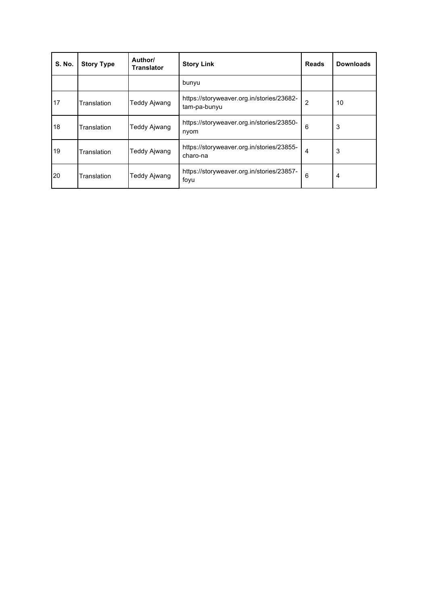| <b>S. No.</b> | <b>Story Type</b> | Author/<br><b>Translator</b> | <b>Story Link</b>                                         | <b>Reads</b>   | <b>Downloads</b> |
|---------------|-------------------|------------------------------|-----------------------------------------------------------|----------------|------------------|
|               |                   |                              | bunyu                                                     |                |                  |
| 17            | Translation       | Teddy Ajwang                 | https://storyweaver.org.in/stories/23682-<br>tam-pa-bunyu | $\overline{2}$ | 10               |
| 18            | Translation       | Teddy Ajwang                 | https://storyweaver.org.in/stories/23850-<br>nyom         | 6              | 3                |
| 19            | Translation       | Teddy Ajwang                 | https://storyweaver.org.in/stories/23855-<br>charo-na     | $\overline{4}$ | 3                |
| 20            | Translation       | Teddy Ajwang                 | https://storyweaver.org.in/stories/23857-<br>foyu         | 6              | 4                |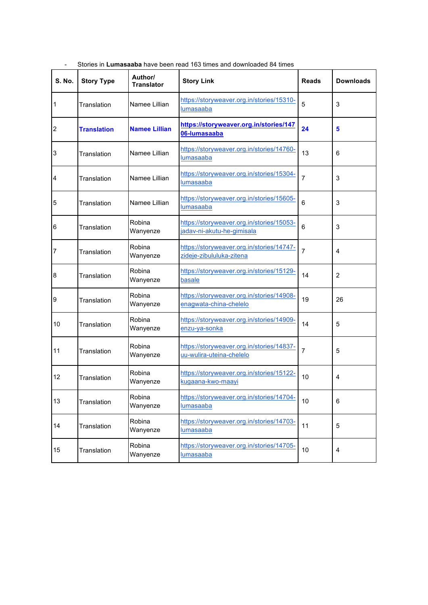| <b>S. No.</b>           | <b>Story Type</b>  | Author/<br><b>Translator</b> | <b>Story Link</b>                                                       | <b>Reads</b>   | <b>Downloads</b> |
|-------------------------|--------------------|------------------------------|-------------------------------------------------------------------------|----------------|------------------|
| 1                       | Translation        | Namee Lillian                | https://storyweaver.org.in/stories/15310-<br>lumasaaba                  | 5              | 3                |
| $\overline{\mathbf{c}}$ | <b>Translation</b> | <b>Namee Lillian</b>         | https://storyweaver.org.in/stories/147<br>06-lumasaaba                  | 24             | 5                |
| 3                       | Translation        | Namee Lillian                | https://storyweaver.org.in/stories/14760-<br>lumasaaba                  | 13             | 6                |
| 4                       | Translation        | Namee Lillian                | https://storyweaver.org.in/stories/15304-<br>lumasaaba                  | $\overline{7}$ | 3                |
| 5                       | Translation        | Namee Lillian                | https://storyweaver.org.in/stories/15605-<br>lumasaaba                  | 6              | 3                |
| 6                       | Translation        | Robina<br>Wanyenze           | https://storyweaver.org.in/stories/15053-<br>jadav-ni-akutu-he-gimisala | 6              | 3                |
| 7                       | Translation        | Robina<br>Wanyenze           | https://storyweaver.org.in/stories/14747-<br>zideje-zibululuka-zitena   | $\overline{7}$ | 4                |
| 8                       | Translation        | Robina<br>Wanyenze           | https://storyweaver.org.in/stories/15129-<br>basale                     | 14             | $\overline{2}$   |
| 9                       | Translation        | Robina<br>Wanyenze           | https://storyweaver.org.in/stories/14908-<br>enagwata-china-chelelo     | 19             | 26               |
| 10                      | Translation        | Robina<br>Wanyenze           | https://storyweaver.org.in/stories/14909-<br>enzu-ya-sonka              | 14             | 5                |
| 11                      | Translation        | Robina<br>Wanyenze           | https://storyweaver.org.in/stories/14837-<br>uu-wulira-uteina-chelelo   | $\overline{7}$ | 5                |
| 12                      | Translation        | Robina<br>Wanyenze           | https://storyweaver.org.in/stories/15122-<br>kugaana-kwo-maayi          | 10             | 4                |
| 13                      | Translation        | Robina<br>Wanyenze           | https://storyweaver.org.in/stories/14704-<br>lumasaaba                  | 10             | 6                |
| 14                      | Translation        | Robina<br>Wanyenze           | https://storyweaver.org.in/stories/14703-<br>lumasaaba                  | 11             | $\mathbf 5$      |
| 15                      | Translation        | Robina<br>Wanyenze           | https://storyweaver.org.in/stories/14705-<br>lumasaaba                  | 10             | 4                |

- Stories in **Lumasaaba** have been read 163 times and downloaded 84 times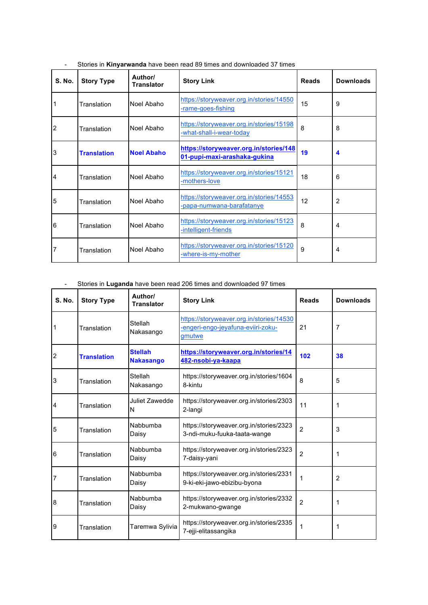| <b>S. No.</b> | <b>Story Type</b>  | Author/<br><b>Translator</b> | <b>Story Link</b>                                                      | <b>Reads</b> | <b>Downloads</b> |
|---------------|--------------------|------------------------------|------------------------------------------------------------------------|--------------|------------------|
| 1             | Translation        | Noel Abaho                   | https://storyweaver.org.in/stories/14550<br>-rame-goes-fishing         | 15           | 9                |
| 2             | Translation        | Noel Abaho                   | https://storyweaver.org.in/stories/15198<br>-what-shall-i-wear-today   | 8            | 8                |
| 3             | <b>Translation</b> | <b>Noel Abaho</b>            | https://storyweaver.org.in/stories/148<br>01-pupi-maxi-arashaka-gukina | 19           | 4                |
| 4             | Translation        | Noel Abaho                   | https://storyweaver.org.in/stories/15121<br>-mothers-love              | 18           | 6                |
| 5             | Translation        | Noel Abaho                   | https://storyweaver.org.in/stories/14553<br>-papa-numwana-barafatanye  | 12           | $\overline{2}$   |
| 6             | Translation        | Noel Abaho                   | https://storyweaver.org.in/stories/15123<br>-intelligent-friends       | 8            | 4                |
| 7             | Translation        | Noel Abaho                   | https://storyweaver.org.in/stories/15120<br>-where-is-my-mother        | 9            | 4                |

- Stories in **Kinyarwanda** have been read 89 times and downloaded 37 times

# - Stories in **Luganda** have been read 206 times and downloaded 97 times

| <b>S. No.</b> | <b>Story Type</b>  | Author/<br><b>Translator</b>       | <b>Story Link</b>                                                                        | <b>Reads</b>   | <b>Downloads</b> |
|---------------|--------------------|------------------------------------|------------------------------------------------------------------------------------------|----------------|------------------|
|               | Translation        | Stellah<br>Nakasango               | https://storyweaver.org.in/stories/14530<br>-engeri-engo-jeyafuna-eviiri-zoku-<br>gmutwe | 21             | 7                |
| 2             | <b>Translation</b> | <b>Stellah</b><br><b>Nakasango</b> | https://storyweaver.org.in/stories/14<br>482-nsobi-ya-kaapa                              | 102            | 38               |
| 3             | Translation        | Stellah<br>Nakasango               | https://storyweaver.org.in/stories/1604<br>8-kintu                                       | 8              | 5                |
|               | Translation        | Juliet Zawedde<br>N                | https://storyweaver.org.in/stories/2303<br>2-langi                                       | 11             | 1                |
| 5             | Translation        | Nabbumba<br>Daisy                  | https://storyweaver.org.in/stories/2323<br>3-ndi-muku-fuuka-taata-wange                  | $\overline{2}$ | 3                |
| 6             | Translation        | Nabbumba<br>Daisy                  | https://storyweaver.org.in/stories/2323<br>7-daisy-yani                                  | $\overline{2}$ | 1                |
|               | Translation        | Nabbumba<br>Daisy                  | https://storyweaver.org.in/stories/2331<br>9-ki-eki-jawo-ebizibu-byona                   | 1              | $\overline{2}$   |
| 8             | Translation        | Nabbumba<br>Daisy                  | https://storyweaver.org.in/stories/2332<br>2-mukwano-gwange                              | $\overline{2}$ | 1                |
| 9             | Translation        | Taremwa Sylivia                    | https://storyweaver.org.in/stories/2335<br>7-ejji-elitassangika                          | 1              | 1                |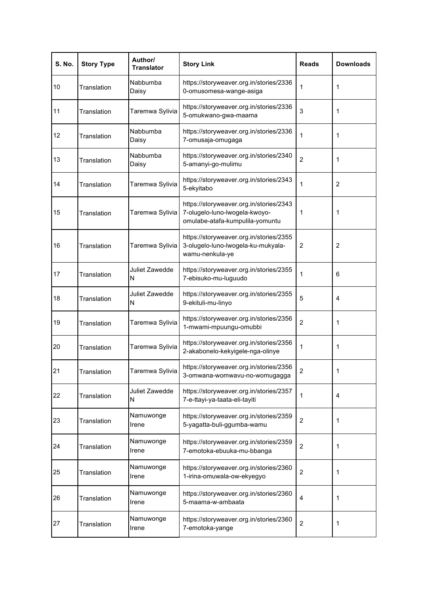| <b>S. No.</b> | <b>Story Type</b> | Author/<br><b>Translator</b> | <b>Story Link</b>                                                                                           | <b>Reads</b>   | <b>Downloads</b> |
|---------------|-------------------|------------------------------|-------------------------------------------------------------------------------------------------------------|----------------|------------------|
| 10            | Translation       | Nabbumba<br>Daisy            | https://storyweaver.org.in/stories/2336<br>0-omusomesa-wange-asiga                                          | 1              | 1                |
| 11            | Translation       | Taremwa Sylivia              | https://storyweaver.org.in/stories/2336<br>5-omukwano-gwa-maama                                             | 3              | 1                |
| 12            | Translation       | Nabbumba<br>Daisy            | https://storyweaver.org.in/stories/2336<br>7-omusaja-omugaga                                                | 1              | 1                |
| 13            | Translation       | Nabbumba<br>Daisy            | https://storyweaver.org.in/stories/2340<br>5-amanyi-go-mulimu                                               | $\overline{2}$ | 1                |
| 14            | Translation       | Taremwa Sylivia              | https://storyweaver.org.in/stories/2343<br>5-ekyitabo                                                       | 1              | $\overline{2}$   |
| 15            | Translation       | Taremwa Sylivia              | https://storyweaver.org.in/stories/2343<br>7-olugelo-luno-lwogela-kwoyo-<br>omulabe-atafa-kumpulila-yomuntu | 1              | 1                |
| 16            | Translation       | Taremwa Sylivia              | https://storyweaver.org.in/stories/2355<br>3-olugelo-luno-lwogela-ku-mukyala-<br>wamu-nenkula-ye            | $\overline{c}$ | $\overline{c}$   |
| 17            | Translation       | Juliet Zawedde<br>N          | https://storyweaver.org.in/stories/2355<br>7-ebisuko-mu-luguudo                                             | 1              | 6                |
| 18            | Translation       | Juliet Zawedde<br>N          | https://storyweaver.org.in/stories/2355<br>9-ekituli-mu-linyo                                               | 5              | $\overline{4}$   |
| 19            | Translation       | Taremwa Sylivia              | https://storyweaver.org.in/stories/2356<br>1-mwami-mpuungu-omubbi                                           | $\overline{2}$ | 1                |
| 20            | Translation       | Taremwa Sylivia              | https://storyweaver.org.in/stories/2356<br>2-akabonelo-kekyigele-nga-olinye                                 | 1              | 1                |
| 21            | Translation       | Taremwa Sylivia              | https://storyweaver.org.in/stories/2356<br>3-omwana-womwavu-no-womugagga                                    | $\overline{2}$ | 1                |
| 22            | Translation       | Juliet Zawedde<br>N          | https://storyweaver.org.in/stories/2357<br>7-e-ttayi-ya-taata-eli-tayiti                                    | 1              | 4                |
| 23            | Translation       | Namuwonge<br>Irene           | https://storyweaver.org.in/stories/2359<br>5-yagatta-buli-ggumba-wamu                                       | $\overline{2}$ | 1                |
| 24            | Translation       | Namuwonge<br>Irene           | https://storyweaver.org.in/stories/2359<br>7-emotoka-ebuuka-mu-bbanga                                       | $\overline{2}$ | 1                |
| 25            | Translation       | Namuwonge<br>Irene           | https://storyweaver.org.in/stories/2360<br>1-irina-omuwala-ow-ekyegyo                                       | $\overline{2}$ | 1                |
| 26            | Translation       | Namuwonge<br>Irene           | https://storyweaver.org.in/stories/2360<br>5-maama-w-ambaata                                                | 4              | 1                |
| 27            | Translation       | Namuwonge<br>Irene           | https://storyweaver.org.in/stories/2360<br>7-emotoka-yange                                                  | $\overline{c}$ | 1                |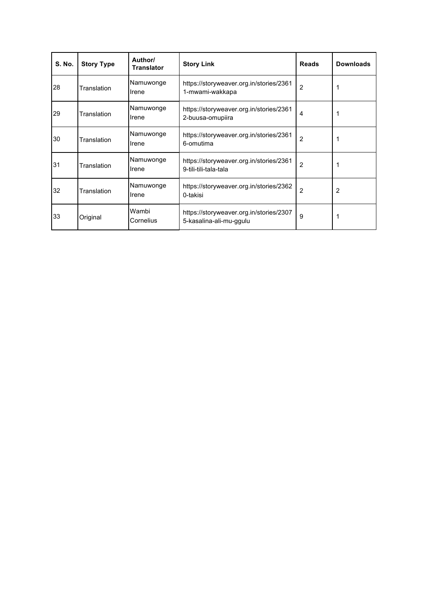| <b>S. No.</b> | <b>Story Type</b> | Author/<br>Translator | <b>Story Link</b>                                                  | <b>Reads</b>   | <b>Downloads</b> |
|---------------|-------------------|-----------------------|--------------------------------------------------------------------|----------------|------------------|
| 28            | Translation       | Namuwonge<br>Irene    | https://storyweaver.org.in/stories/2361<br>1-mwami-wakkapa         | $\overline{2}$ |                  |
| 29            | Translation       | Namuwonge<br>Irene    | https://storyweaver.org.in/stories/2361<br>2-buusa-omupiira        | 4              |                  |
| 30            | Translation       | Namuwonge<br>Irene    | https://storyweaver.org.in/stories/2361<br>6-omutima               | $\overline{2}$ |                  |
| 31            | Translation       | Namuwonge<br>Irene    | https://storyweaver.org.in/stories/2361<br>9-tili-tili-tala-tala   | $\overline{2}$ |                  |
| 32            | Translation       | Namuwonge<br>Irene    | https://storyweaver.org.in/stories/2362<br>0-takisi                | $\overline{2}$ | 2                |
| 33            | Original          | Wambi<br>Cornelius    | https://storyweaver.org.in/stories/2307<br>5-kasalina-ali-mu-ggulu | 9              |                  |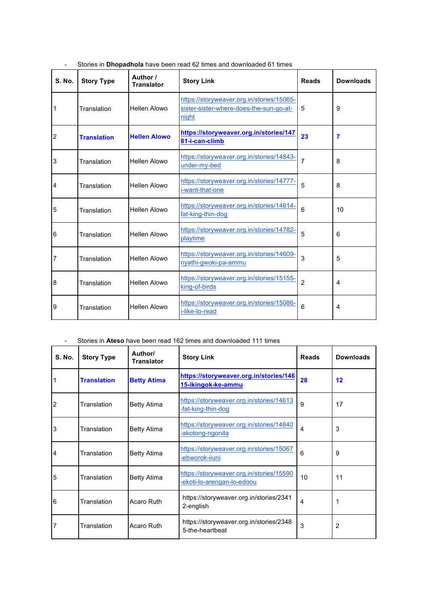| <b>S. No.</b>  | <b>Story Type</b>  | Author /<br><b>Translator</b> | <b>Story Link</b>                                                                             | <b>Reads</b>   | <b>Downloads</b> |
|----------------|--------------------|-------------------------------|-----------------------------------------------------------------------------------------------|----------------|------------------|
| 1              | Translation        | <b>Hellen Alowo</b>           | https://storyweaver.org.in/stories/15065-<br>sister-sister-where-does-the-sun-go-at-<br>night | 5              | 9                |
| $\overline{2}$ | <b>Translation</b> | <b>Hellen Alowo</b>           | https://storyweaver.org.in/stories/147<br>81-i-can-climb                                      | 23             | $\overline{7}$   |
| 3              | Translation        | <b>Hellen Alowo</b>           | https://storyweaver.org.in/stories/14843-<br>under-my-bed                                     | 7              | 8                |
| 4              | Translation        | Hellen Alowo                  | https://storyweaver.org.in/stories/14777-<br>i-want-that-one                                  | 5              | 8                |
| 5              | Translation        | Hellen Alowo                  | https://storyweaver.org.in/stories/14614-<br>fat-king-thin-dog                                | 6              | 10               |
| 6              | Translation        | <b>Hellen Alowo</b>           | https://storyweaver.org.in/stories/14782-<br>playtime                                         | 5              | 6                |
| 7              | Translation        | <b>Hellen Alowo</b>           | https://storyweaver.org.in/stories/14609-<br>nyathi-gwoki-pa-ammu                             | 3              | 5                |
| 8              | Translation        | <b>Hellen Alowo</b>           | https://storyweaver.org.in/stories/15155-<br>king-of-birds                                    | $\overline{2}$ | 4                |
| 9              | Translation        | Hellen Alowo                  | https://storyweaver.org.in/stories/15086-<br>i-like-to-read                                   | 6              | 4                |

| Stories in <b>Dhopadhola</b> have been read 62 times and downloaded 61 times |  |  |  |
|------------------------------------------------------------------------------|--|--|--|
|                                                                              |  |  |  |

- Stories in **Ateso** have been read 162 times and downloaded 111 times

| <b>S. No.</b> | <b>Story Type</b>  | Author/<br><b>Translator</b> | <b>Story Link</b>                                                      | <b>Reads</b>   | <b>Downloads</b> |
|---------------|--------------------|------------------------------|------------------------------------------------------------------------|----------------|------------------|
|               | <b>Translation</b> | <b>Betty Atima</b>           | https://storyweaver.org.in/stories/146<br>15-ikingok-ke-ammu           | 28             | 12               |
| 2             | Translation        | <b>Betty Atima</b>           | https://storyweaver.org.in/stories/14613<br>-fat-king-thin-dog         | 9              | 17               |
| 3             | Translation        | <b>Betty Atima</b>           | https://storyweaver.org.in/stories/14840<br>-akotong-ngonita           | $\overline{4}$ | 3                |
| 4             | Translation        | <b>Betty Atima</b>           | https://storyweaver.org.in/stories/15067<br>-ebworok-iiuni             | 6              | 9                |
| 5             | Translation        | <b>Betty Atima</b>           | https://storyweaver.org.in/stories/15590<br>-ekoti-lo-arengan-lo-edoou | 10             | 11               |
| 6             | Translation        | Acaro Ruth                   | https://storyweaver.org.in/stories/2341<br>2-english                   | $\overline{4}$ | 1                |
| 7             | Translation        | Acaro Ruth                   | https://storyweaver.org.in/stories/2348<br>5-the-heartbeat             | 3              | 2                |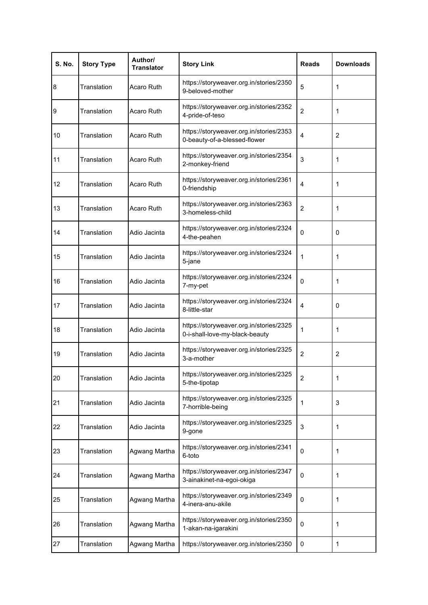| <b>S. No.</b> | <b>Story Type</b> | Author/<br><b>Translator</b> | <b>Story Link</b>                                                         | <b>Reads</b>   | <b>Downloads</b> |
|---------------|-------------------|------------------------------|---------------------------------------------------------------------------|----------------|------------------|
| 8             | Translation       | Acaro Ruth                   | https://storyweaver.org.in/stories/2350<br>9-beloved-mother               | 5              | 1                |
| 9             | Translation       | Acaro Ruth                   | https://storyweaver.org.in/stories/2352<br>4-pride-of-teso                | $\overline{2}$ | 1                |
| 10            | Translation       | Acaro Ruth                   | https://storyweaver.org.in/stories/2353<br>0-beauty-of-a-blessed-flower   | $\overline{4}$ | $\overline{2}$   |
| 11            | Translation       | Acaro Ruth                   | https://storyweaver.org.in/stories/2354<br>2-monkey-friend                | 3              | 1                |
| 12            | Translation       | Acaro Ruth                   | https://storyweaver.org.in/stories/2361<br>0-friendship                   | $\overline{4}$ | 1                |
| 13            | Translation       | Acaro Ruth                   | https://storyweaver.org.in/stories/2363<br>3-homeless-child               | 2              | 1                |
| 14            | Translation       | Adio Jacinta                 | https://storyweaver.org.in/stories/2324<br>4-the-peahen                   | 0              | 0                |
| 15            | Translation       | Adio Jacinta                 | https://storyweaver.org.in/stories/2324<br>5-jane                         | 1              | 1                |
| 16            | Translation       | Adio Jacinta                 | https://storyweaver.org.in/stories/2324<br>7-my-pet                       | $\mathbf{0}$   | 1                |
| 17            | Translation       | Adio Jacinta                 | https://storyweaver.org.in/stories/2324<br>8-little-star                  | 4              | 0                |
| 18            | Translation       | Adio Jacinta                 | https://storyweaver.org.in/stories/2325<br>0-i-shall-love-my-black-beauty | 1              | 1                |
| 19            | Translation       | Adio Jacinta                 | https://storyweaver.org.in/stories/2325<br>3-a-mother                     | $\overline{2}$ | $\overline{2}$   |
| 20            | Translation       | Adio Jacinta                 | https://storyweaver.org.in/stories/2325<br>5-the-tipotap                  | $\overline{2}$ | 1                |
| 21            | Translation       | Adio Jacinta                 | https://storyweaver.org.in/stories/2325<br>7-horrible-being               | 1              | 3                |
| 22            | Translation       | Adio Jacinta                 | https://storyweaver.org.in/stories/2325<br>9-gone                         | 3              | 1                |
| 23            | Translation       | Agwang Martha                | https://storyweaver.org.in/stories/2341<br>6-toto                         | 0              | 1                |
| 24            | Translation       | Agwang Martha                | https://storyweaver.org.in/stories/2347<br>3-ainakinet-na-egoi-okiga      | 0              | 1                |
| 25            | Translation       | Agwang Martha                | https://storyweaver.org.in/stories/2349<br>4-inera-anu-akile              | 0              | 1                |
| 26            | Translation       | Agwang Martha                | https://storyweaver.org.in/stories/2350<br>1-akan-na-igarakini            | 0              | 1                |
| 27            | Translation       | Agwang Martha                | https://storyweaver.org.in/stories/2350                                   | 0              | 1                |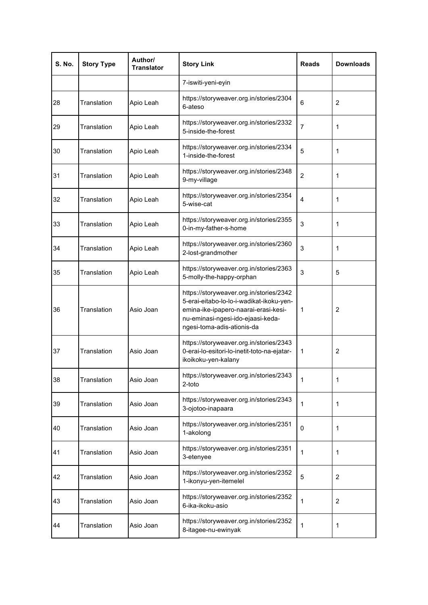| <b>S. No.</b> | <b>Story Type</b> | Author/<br><b>Translator</b> | <b>Story Link</b>                                                                                                                                                                              | <b>Reads</b>   | <b>Downloads</b> |
|---------------|-------------------|------------------------------|------------------------------------------------------------------------------------------------------------------------------------------------------------------------------------------------|----------------|------------------|
|               |                   |                              | 7-iswiti-yeni-eyin                                                                                                                                                                             |                |                  |
| 28            | Translation       | Apio Leah                    | https://storyweaver.org.in/stories/2304<br>6-ateso                                                                                                                                             | 6              | $\overline{2}$   |
| 29            | Translation       | Apio Leah                    | https://storyweaver.org.in/stories/2332<br>5-inside-the-forest                                                                                                                                 | 7              | 1                |
| 30            | Translation       | Apio Leah                    | https://storyweaver.org.in/stories/2334<br>1-inside-the-forest                                                                                                                                 | 5              | 1                |
| 31            | Translation       | Apio Leah                    | https://storyweaver.org.in/stories/2348<br>9-my-village                                                                                                                                        | $\overline{2}$ | 1                |
| 32            | Translation       | Apio Leah                    | https://storyweaver.org.in/stories/2354<br>5-wise-cat                                                                                                                                          | $\overline{4}$ | 1                |
| 33            | Translation       | Apio Leah                    | https://storyweaver.org.in/stories/2355<br>0-in-my-father-s-home                                                                                                                               | 3              | 1                |
| 34            | Translation       | Apio Leah                    | https://storyweaver.org.in/stories/2360<br>2-lost-grandmother                                                                                                                                  | 3              | 1                |
| 35            | Translation       | Apio Leah                    | https://storyweaver.org.in/stories/2363<br>5-molly-the-happy-orphan                                                                                                                            | 3              | 5                |
| 36            | Translation       | Asio Joan                    | https://storyweaver.org.in/stories/2342<br>5-erai-eitabo-lo-lo-i-wadikat-ikoku-yen-<br>emina-ike-ipapero-naarai-erasi-kesi-<br>nu-eminasi-ngesi-ido-ejaasi-keda-<br>ngesi-toma-adis-ationis-da | 1              | 2                |
| 37            | Translation       | Asio Joan                    | https://storyweaver.org.in/stories/2343<br>0-erai-lo-esitori-lo-inetit-toto-na-ejatar-<br>ikoikoku-yen-kalany                                                                                  | 1              | 2                |
| 38            | Translation       | Asio Joan                    | https://storyweaver.org.in/stories/2343<br>2-toto                                                                                                                                              | 1              | 1                |
| 39            | Translation       | Asio Joan                    | https://storyweaver.org.in/stories/2343<br>3-ojotoo-inapaara                                                                                                                                   | 1              | 1                |
| 40            | Translation       | Asio Joan                    | https://storyweaver.org.in/stories/2351<br>1-akolong                                                                                                                                           | 0              | 1                |
| 41            | Translation       | Asio Joan                    | https://storyweaver.org.in/stories/2351<br>3-etenyee                                                                                                                                           | 1              | 1                |
| 42            | Translation       | Asio Joan                    | https://storyweaver.org.in/stories/2352<br>1-ikonyu-yen-itemelel                                                                                                                               | 5              | $\overline{2}$   |
| 43            | Translation       | Asio Joan                    | https://storyweaver.org.in/stories/2352<br>6-ika-ikoku-asio                                                                                                                                    | 1              | $\overline{c}$   |
| 44            | Translation       | Asio Joan                    | https://storyweaver.org.in/stories/2352<br>8-itagee-nu-ewinyak                                                                                                                                 | 1              | 1                |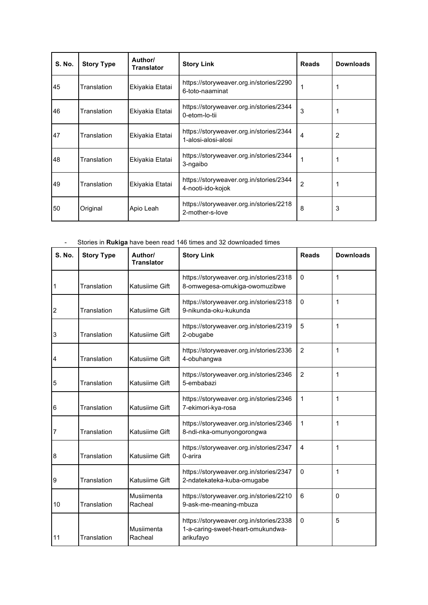| <b>S. No.</b> | <b>Story Type</b> | Author/<br><b>Translator</b> | <b>Story Link</b>                                              | <b>Reads</b>   | <b>Downloads</b> |
|---------------|-------------------|------------------------------|----------------------------------------------------------------|----------------|------------------|
| 45            | Translation       | Ekiyakia Etatai              | https://storyweaver.org.in/stories/2290<br>6-toto-naaminat     |                |                  |
| 46            | Translation       | Ekiyakia Etatai              | https://storyweaver.org.in/stories/2344<br>0-etom-lo-tii       | 3              |                  |
| 47            | Translation       | Ekiyakia Etatai              | https://storyweaver.org.in/stories/2344<br>1-alosi-alosi-alosi | 4              | 2                |
| 48            | Translation       | Ekiyakia Etatai              | https://storyweaver.org.in/stories/2344<br>3-ngaibo            |                |                  |
| 49            | Translation       | Ekiyakia Etatai              | https://storyweaver.org.in/stories/2344<br>4-nooti-ido-kojok   | $\overline{2}$ |                  |
| 50            | Original          | Apio Leah                    | https://storyweaver.org.in/stories/2218<br>2-mother-s-love     | 8              | 3                |

- Stories in **Rukiga** have been read 146 times and 32 downloaded times

| <b>S. No.</b> | <b>Story Type</b> | Author/<br><b>Translator</b> | <b>Story Link</b>                                                                         | <b>Reads</b>     | <b>Downloads</b> |
|---------------|-------------------|------------------------------|-------------------------------------------------------------------------------------------|------------------|------------------|
| 1             | Translation       | Katusiime Gift               | https://storyweaver.org.in/stories/2318<br>8-omwegesa-omukiga-owomuzibwe                  | $\boldsymbol{0}$ | 1                |
| 2             | Translation       | Katusiime Gift               | https://storyweaver.org.in/stories/2318<br>9-nikunda-oku-kukunda                          | $\Omega$         | 1                |
| 3             | Translation       | Katusiime Gift               | https://storyweaver.org.in/stories/2319<br>2-obugabe                                      | 5                | 1                |
| 4             | Translation       | Katusiime Gift               | https://storyweaver.org.in/stories/2336<br>4-obuhangwa                                    | $\overline{2}$   | 1                |
| 5             | Translation       | Katusiime Gift               | https://storyweaver.org.in/stories/2346<br>5-embabazi                                     | $\overline{c}$   | 1                |
| 6             | Translation       | Katusiime Gift               | https://storyweaver.org.in/stories/2346<br>7-ekimori-kya-rosa                             | 1                | 1                |
| 7             | Translation       | Katusiime Gift               | https://storyweaver.org.in/stories/2346<br>8-ndi-nka-omunyongorongwa                      | $\mathbf{1}$     | 1                |
| 8             | Translation       | Katusiime Gift               | https://storyweaver.org.in/stories/2347<br>0-arira                                        | $\overline{4}$   | 1                |
| 9             | Translation       | Katusiime Gift               | https://storyweaver.org.in/stories/2347<br>2-ndatekateka-kuba-omugabe                     | $\mathbf{0}$     | 1                |
| 10            | Translation       | Musiimenta<br>Racheal        | https://storyweaver.org.in/stories/2210<br>9-ask-me-meaning-mbuza                         | 6                | 0                |
| 11            | Translation       | Musiimenta<br>Racheal        | https://storyweaver.org.in/stories/2338<br>1-a-caring-sweet-heart-omukundwa-<br>arikufayo | $\mathbf{0}$     | 5                |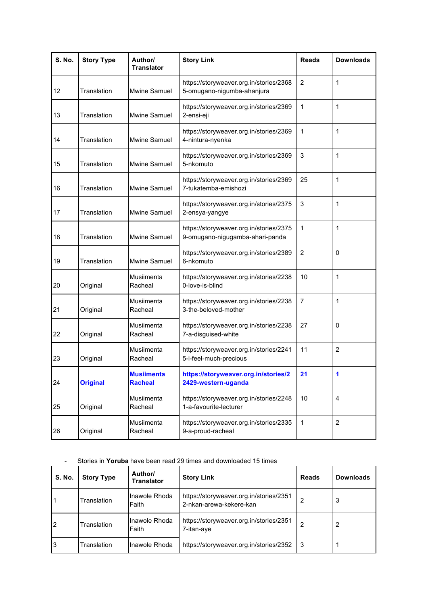| <b>S. No.</b> | <b>Story Type</b> | Author/<br><b>Translator</b>        | <b>Story Link</b>                                                          | <b>Reads</b>   | <b>Downloads</b> |
|---------------|-------------------|-------------------------------------|----------------------------------------------------------------------------|----------------|------------------|
| 12            | Translation       | Mwine Samuel                        | https://storyweaver.org.in/stories/2368<br>5-omugano-nigumba-ahanjura      | $\overline{2}$ | 1                |
| 13            | Translation       | <b>Mwine Samuel</b>                 | https://storyweaver.org.in/stories/2369<br>2-ensi-eji                      | 1              | 1                |
| 14            | Translation       | <b>Mwine Samuel</b>                 | https://storyweaver.org.in/stories/2369<br>4-nintura-nyenka                | 1              | 1                |
| 15            | Translation       | <b>Mwine Samuel</b>                 | https://storyweaver.org.in/stories/2369<br>5-nkomuto                       | 3              | 1                |
| 16            | Translation       | <b>Mwine Samuel</b>                 | https://storyweaver.org.in/stories/2369<br>7-tukatemba-emishozi            | 25             | 1                |
| 17            | Translation       | Mwine Samuel                        | https://storyweaver.org.in/stories/2375<br>2-ensya-yangye                  | 3              | 1                |
| 18            | Translation       | <b>Mwine Samuel</b>                 | https://storyweaver.org.in/stories/2375<br>9-omugano-nigugamba-ahari-panda | 1              | 1                |
| 19            | Translation       | <b>Mwine Samuel</b>                 | https://storyweaver.org.in/stories/2389<br>6-nkomuto                       | $\overline{2}$ | 0                |
| 20            | Original          | Musiimenta<br>Racheal               | https://storyweaver.org.in/stories/2238<br>0-love-is-blind                 | 10             | 1                |
| 21            | Original          | Musiimenta<br>Racheal               | https://storyweaver.org.in/stories/2238<br>3-the-beloved-mother            | $\overline{7}$ | 1                |
| 22            | Original          | Musiimenta<br>Racheal               | https://storyweaver.org.in/stories/2238<br>7-a-disguised-white             | 27             | 0                |
| 23            | Original          | Musiimenta<br>Racheal               | https://storyweaver.org.in/stories/2241<br>5-i-feel-much-precious          | 11             | $\overline{2}$   |
| 24            | <b>Original</b>   | <b>Musiimenta</b><br><b>Racheal</b> | https://storyweaver.org.in/stories/2<br>2429-western-uganda                | 21             |                  |
| 25            | Original          | Musiimenta<br>Racheal               | https://storyweaver.org.in/stories/2248<br>1-a-favourite-lecturer          | 10             | $\overline{4}$   |
| 26            | Original          | Musiimenta<br>Racheal               | https://storyweaver.org.in/stories/2335<br>9-a-proud-racheal               | $\mathbf{1}$   | 2                |

# - Stories in **Yoruba** have been read 29 times and downloaded 15 times

| <b>S. No.</b> | <b>Story Type</b> | Author/<br>Translator  | <b>Story Link</b>                                                  | <b>Reads</b> | <b>Downloads</b> |
|---------------|-------------------|------------------------|--------------------------------------------------------------------|--------------|------------------|
|               | Translation       | Inawole Rhoda<br>Faith | https://storyweaver.org.in/stories/2351<br>2-nkan-arewa-kekere-kan |              | 3                |
| 2             | Translation       | Inawole Rhoda<br>Faith | https://storyweaver.org.in/stories/2351<br>7-itan-aye              | 2            | 2                |
| 3             | Translation       | Inawole Rhoda          | https://storyweaver.org.in/stories/2352                            | -3           |                  |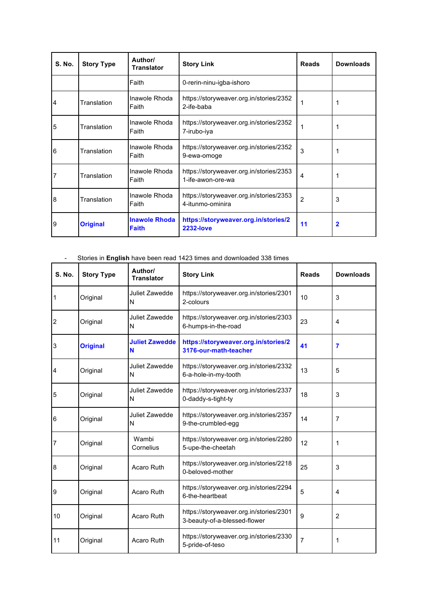| <b>S. No.</b> | <b>Story Type</b> | Author/<br><b>Translator</b>         | <b>Story Link</b>                                            | <b>Reads</b>   | <b>Downloads</b> |
|---------------|-------------------|--------------------------------------|--------------------------------------------------------------|----------------|------------------|
|               |                   | Faith                                | 0-rerin-ninu-igba-ishoro                                     |                |                  |
| 4             | Translation       | Inawole Rhoda<br>Faith               | https://storyweaver.org.in/stories/2352<br>2-ife-baba        | 1              |                  |
| 5             | Translation       | Inawole Rhoda<br>Faith               | https://storyweaver.org.in/stories/2352<br>7-irubo-iya       |                |                  |
| 6             | Translation       | Inawole Rhoda<br>Faith               | https://storyweaver.org.in/stories/2352<br>9-ewa-omoge       | 3              |                  |
|               | Translation       | Inawole Rhoda<br>Faith               | https://storyweaver.org.in/stories/2353<br>1-ife-awon-ore-wa | 4              |                  |
| 8             | Translation       | Inawole Rhoda<br>Faith               | https://storyweaver.org.in/stories/2353<br>4-itunmo-ominira  | $\overline{2}$ | 3                |
| 9             | <b>Original</b>   | <b>Inawole Rhoda</b><br><b>Faith</b> | https://storyweaver.org.in/stories/2<br><b>2232-love</b>     | 11             | $\mathbf 2$      |

- Stories in **English** have been read 1423 times and downloaded 338 times

| <b>S. No.</b> | <b>Story Type</b> | Author/<br><b>Translator</b> | <b>Story Link</b>                                                       | <b>Reads</b> | <b>Downloads</b> |
|---------------|-------------------|------------------------------|-------------------------------------------------------------------------|--------------|------------------|
|               | Original          | Juliet Zawedde<br>N          | https://storyweaver.org.in/stories/2301<br>2-colours                    | 10           | 3                |
| 2             | Original          | Juliet Zawedde<br>N          | https://storyweaver.org.in/stories/2303<br>6-humps-in-the-road          | 23           | $\overline{4}$   |
| 3             | <b>Original</b>   | <b>Juliet Zawedde</b><br>N   | https://storyweaver.org.in/stories/2<br>3176-our-math-teacher           | 41           | 7                |
| 4             | Original          | Juliet Zawedde<br>N          | https://storyweaver.org.in/stories/2332<br>6-a-hole-in-my-tooth         | 13           | 5                |
| 5             | Original          | Juliet Zawedde<br>N          | https://storyweaver.org.in/stories/2337<br>0-daddy-s-tight-ty           | 18           | 3                |
| 6             | Original          | Juliet Zawedde<br>N          | https://storyweaver.org.in/stories/2357<br>9-the-crumbled-egg           | 14           | 7                |
|               | Original          | Wambi<br>Cornelius           | https://storyweaver.org.in/stories/2280<br>5-upe-the-cheetah            | 12           | 1                |
| 8             | Original          | Acaro Ruth                   | https://storyweaver.org.in/stories/2218<br>0-beloved-mother             | 25           | 3                |
| 9             | Original          | Acaro Ruth                   | https://storyweaver.org.in/stories/2294<br>6-the-heartbeat              | 5            | 4                |
| 10            | Original          | Acaro Ruth                   | https://storyweaver.org.in/stories/2301<br>3-beauty-of-a-blessed-flower | 9            | 2                |
| 11            | Original          | Acaro Ruth                   | https://storyweaver.org.in/stories/2330<br>5-pride-of-teso              | 7            | 1                |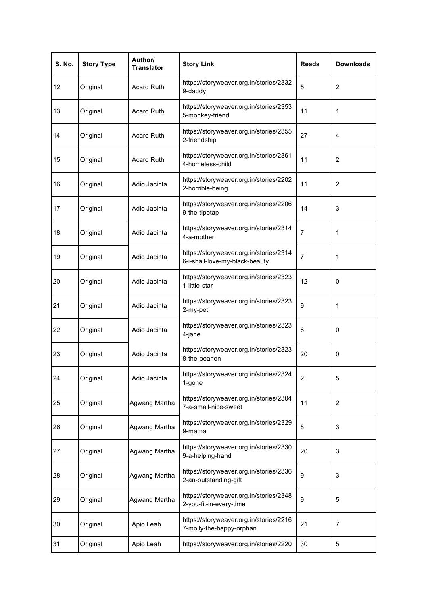| <b>S. No.</b> | <b>Story Type</b> | Author/<br><b>Translator</b> | <b>Story Link</b>                                                         | <b>Reads</b>   | <b>Downloads</b> |
|---------------|-------------------|------------------------------|---------------------------------------------------------------------------|----------------|------------------|
| 12            | Original          | Acaro Ruth                   | https://storyweaver.org.in/stories/2332<br>9-daddy                        | 5              | $\overline{2}$   |
| 13            | Original          | Acaro Ruth                   | https://storyweaver.org.in/stories/2353<br>5-monkey-friend                | 11             | 1                |
| 14            | Original          | Acaro Ruth                   | https://storyweaver.org.in/stories/2355<br>2-friendship                   | 27             | 4                |
| 15            | Original          | Acaro Ruth                   | https://storyweaver.org.in/stories/2361<br>4-homeless-child               | 11             | $\overline{2}$   |
| 16            | Original          | Adio Jacinta                 | https://storyweaver.org.in/stories/2202<br>2-horrible-being               | 11             | $\overline{2}$   |
| 17            | Original          | Adio Jacinta                 | https://storyweaver.org.in/stories/2206<br>9-the-tipotap                  | 14             | 3                |
| 18            | Original          | Adio Jacinta                 | https://storyweaver.org.in/stories/2314<br>4-a-mother                     | $\overline{7}$ | 1                |
| 19            | Original          | Adio Jacinta                 | https://storyweaver.org.in/stories/2314<br>6-i-shall-love-my-black-beauty | $\overline{7}$ | 1                |
| 20            | Original          | Adio Jacinta                 | https://storyweaver.org.in/stories/2323<br>1-little-star                  | 12             | 0                |
| 21            | Original          | Adio Jacinta                 | https://storyweaver.org.in/stories/2323<br>2-my-pet                       | 9              | 1                |
| 22            | Original          | Adio Jacinta                 | https://storyweaver.org.in/stories/2323<br>4-jane                         | 6              | 0                |
| 23            | Original          | Adio Jacinta                 | https://storyweaver.org.in/stories/2323<br>8-the-peahen                   | 20             | 0                |
| 24            | Original          | Adio Jacinta                 | https://storyweaver.org.in/stories/2324<br>1-gone                         | $\overline{2}$ | 5                |
| 25            | Original          | Agwang Martha                | https://storyweaver.org.in/stories/2304<br>7-a-small-nice-sweet           | 11             | $\overline{c}$   |
| 26            | Original          | Agwang Martha                | https://storyweaver.org.in/stories/2329<br>9-mama                         | 8              | 3                |
| 27            | Original          | Agwang Martha                | https://storyweaver.org.in/stories/2330<br>9-a-helping-hand               | 20             | 3                |
| 28            | Original          | Agwang Martha                | https://storyweaver.org.in/stories/2336<br>2-an-outstanding-gift          | 9              | 3                |
| 29            | Original          | Agwang Martha                | https://storyweaver.org.in/stories/2348<br>2-you-fit-in-every-time        | 9              | 5                |
| 30            | Original          | Apio Leah                    | https://storyweaver.org.in/stories/2216<br>7-molly-the-happy-orphan       | 21             | $\overline{7}$   |
| 31            | Original          | Apio Leah                    | https://storyweaver.org.in/stories/2220                                   | 30             | 5                |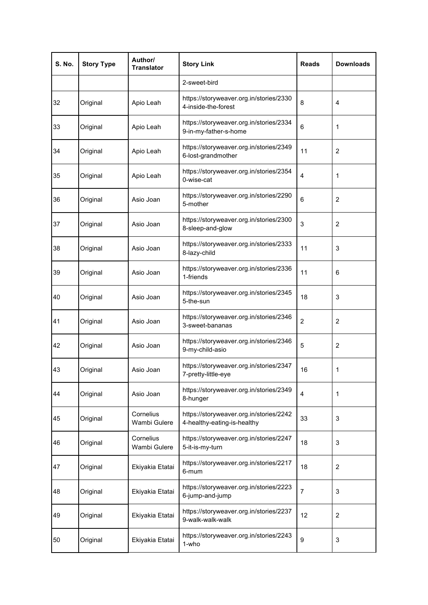| <b>S. No.</b> | <b>Story Type</b> | Author/<br><b>Translator</b> | <b>Story Link</b>                                                      | <b>Reads</b>   | <b>Downloads</b> |
|---------------|-------------------|------------------------------|------------------------------------------------------------------------|----------------|------------------|
|               |                   |                              | 2-sweet-bird                                                           |                |                  |
| 32            | Original          | Apio Leah                    | https://storyweaver.org.in/stories/2330<br>4-inside-the-forest         | 8              | 4                |
| 33            | Original          | Apio Leah                    | https://storyweaver.org.in/stories/2334<br>9-in-my-father-s-home       | 6              | 1                |
| 34            | Original          | Apio Leah                    | https://storyweaver.org.in/stories/2349<br>6-lost-grandmother          | 11             | $\overline{c}$   |
| 35            | Original          | Apio Leah                    | https://storyweaver.org.in/stories/2354<br>0-wise-cat                  | $\overline{4}$ | 1                |
| 36            | Original          | Asio Joan                    | https://storyweaver.org.in/stories/2290<br>5-mother                    | 6              | $\overline{2}$   |
| 37            | Original          | Asio Joan                    | https://storyweaver.org.in/stories/2300<br>8-sleep-and-glow            | 3              | $\overline{2}$   |
| 38            | Original          | Asio Joan                    | https://storyweaver.org.in/stories/2333<br>8-lazy-child                | 11             | 3                |
| 39            | Original          | Asio Joan                    | https://storyweaver.org.in/stories/2336<br>1-friends                   | 11             | 6                |
| 40            | Original          | Asio Joan                    | https://storyweaver.org.in/stories/2345<br>5-the-sun                   | 18             | 3                |
| 41            | Original          | Asio Joan                    | https://storyweaver.org.in/stories/2346<br>3-sweet-bananas             | 2              | $\overline{c}$   |
| 42            | Original          | Asio Joan                    | https://storyweaver.org.in/stories/2346<br>9-my-child-asio             | 5              | $\overline{2}$   |
| 43            | Original          | Asio Joan                    | https://storyweaver.org.in/stories/2347<br>7-pretty-little-eye         | 16             | 1                |
| 44            | Original          | Asio Joan                    | https://storyweaver.org.in/stories/2349<br>8-hunger                    | 4              | 1                |
| 45            | Original          | Cornelius<br>Wambi Gulere    | https://storyweaver.org.in/stories/2242<br>4-healthy-eating-is-healthy | 33             | 3                |
| 46            | Original          | Cornelius<br>Wambi Gulere    | https://storyweaver.org.in/stories/2247<br>5-it-is-my-turn             | 18             | 3                |
| 47            | Original          | Ekiyakia Etatai              | https://storyweaver.org.in/stories/2217<br>6-mum                       | 18             | 2                |
| 48            | Original          | Ekiyakia Etatai              | https://storyweaver.org.in/stories/2223<br>6-jump-and-jump             | $\overline{7}$ | 3                |
| 49            | Original          | Ekiyakia Etatai              | https://storyweaver.org.in/stories/2237<br>9-walk-walk-walk            | 12             | $\overline{c}$   |
| 50            | Original          | Ekiyakia Etatai              | https://storyweaver.org.in/stories/2243<br>1-who                       | 9              | 3                |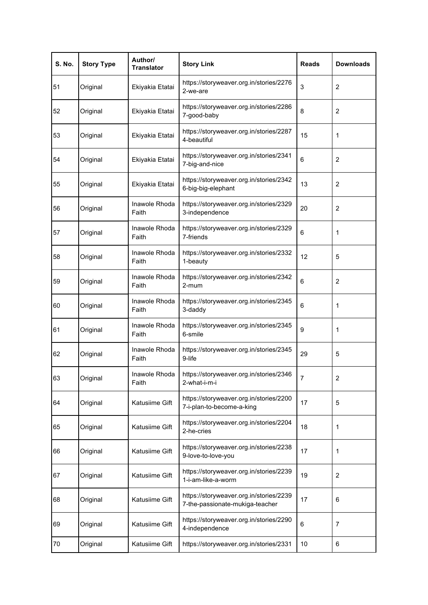| <b>S. No.</b> | <b>Story Type</b> | Author/<br><b>Translator</b> | <b>Story Link</b>                                                          | <b>Reads</b> | <b>Downloads</b> |
|---------------|-------------------|------------------------------|----------------------------------------------------------------------------|--------------|------------------|
| 51            | Original          | Ekiyakia Etatai              | https://storyweaver.org.in/stories/2276<br>2-we-are                        | 3            | $\overline{2}$   |
| 52            | Original          | Ekiyakia Etatai              | https://storyweaver.org.in/stories/2286<br>7-good-baby                     | 8            | $\overline{2}$   |
| 53            | Original          | Ekiyakia Etatai              | https://storyweaver.org.in/stories/2287<br>4-beautiful                     | 15           | 1                |
| 54            | Original          | Ekiyakia Etatai              | https://storyweaver.org.in/stories/2341<br>7-big-and-nice                  | 6            | $\overline{c}$   |
| 55            | Original          | Ekiyakia Etatai              | https://storyweaver.org.in/stories/2342<br>6-big-big-elephant              | 13           | $\overline{2}$   |
| 56            | Original          | Inawole Rhoda<br>Faith       | https://storyweaver.org.in/stories/2329<br>3-independence                  | 20           | $\overline{2}$   |
| 57            | Original          | Inawole Rhoda<br>Faith       | https://storyweaver.org.in/stories/2329<br>7-friends                       | 6            | 1                |
| 58            | Original          | Inawole Rhoda<br>Faith       | https://storyweaver.org.in/stories/2332<br>1-beauty                        | 12           | 5                |
| 59            | Original          | Inawole Rhoda<br>Faith       | https://storyweaver.org.in/stories/2342<br>2-mum                           | 6            | 2                |
| 60            | Original          | Inawole Rhoda<br>Faith       | https://storyweaver.org.in/stories/2345<br>3-daddy                         | 6            | 1                |
| 61            | Original          | Inawole Rhoda<br>Faith       | https://storyweaver.org.in/stories/2345<br>6-smile                         | 9            | 1                |
| 62            | Original          | Inawole Rhoda<br>Faith       | https://storyweaver.org.in/stories/2345<br>9-life                          | 29           | 5                |
| 63            | Original          | Faith                        | Inawole Rhoda   https://storyweaver.org.in/stories/2346<br>2-what-i-m-i    | 7            | $\overline{c}$   |
| 64            | Original          | Katusiime Gift               | https://storyweaver.org.in/stories/2200<br>7-i-plan-to-become-a-king       | 17           | 5                |
| 65            | Original          | Katusiime Gift               | https://storyweaver.org.in/stories/2204<br>2-he-cries                      | 18           | 1                |
| 66            | Original          | Katusiime Gift               | https://storyweaver.org.in/stories/2238<br>9-love-to-love-you              | 17           | 1                |
| 67            | Original          | Katusiime Gift               | https://storyweaver.org.in/stories/2239<br>1-i-am-like-a-worm              | 19           | $\overline{c}$   |
| 68            | Original          | Katusiime Gift               | https://storyweaver.org.in/stories/2239<br>7-the-passionate-mukiga-teacher | 17           | 6                |
| 69            | Original          | Katusiime Gift               | https://storyweaver.org.in/stories/2290<br>4-independence                  | 6            | $\overline{7}$   |
| 70            | Original          | Katusiime Gift               | https://storyweaver.org.in/stories/2331                                    | 10           | 6                |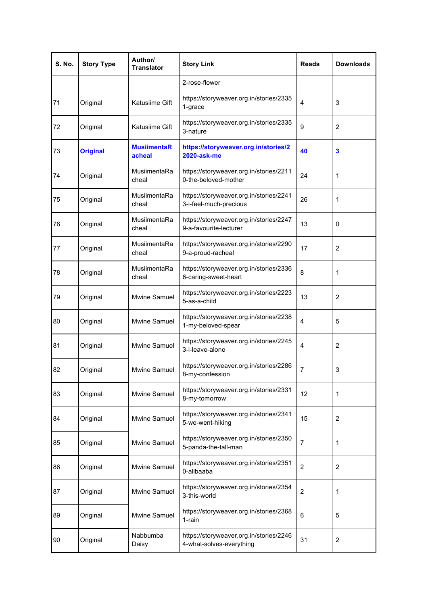| <b>S. No.</b> | <b>Story Type</b> | Author/<br><b>Translator</b> | <b>Story Link</b>                                                   | <b>Reads</b>   | <b>Downloads</b> |
|---------------|-------------------|------------------------------|---------------------------------------------------------------------|----------------|------------------|
|               |                   |                              | 2-rose-flower                                                       |                |                  |
| 71            | Original          | Katusiime Gift               | https://storyweaver.org.in/stories/2335<br>1-grace                  | 4              | 3                |
| 72            | Original          | Katusiime Gift               | https://storyweaver.org.in/stories/2335<br>3-nature                 | 9              | 2                |
| 73            | <b>Original</b>   | <b>MusiimentaR</b><br>acheal | https://storyweaver.org.in/stories/2<br><b>2020-ask-me</b>          | 40             | 3                |
| 74            | Original          | MusiimentaRa<br>cheal        | https://storyweaver.org.in/stories/2211<br>0-the-beloved-mother     | 24             | 1                |
| 75            | Original          | MusiimentaRa<br>cheal        | https://storyweaver.org.in/stories/2241<br>3-i-feel-much-precious   | 26             | 1                |
| 76            | Original          | MusiimentaRa<br>cheal        | https://storyweaver.org.in/stories/2247<br>9-a-favourite-lecturer   | 13             | 0                |
| 77            | Original          | MusiimentaRa<br>cheal        | https://storyweaver.org.in/stories/2290<br>9-a-proud-racheal        | 17             | $\overline{2}$   |
| 78            | Original          | MusiimentaRa<br>cheal        | https://storyweaver.org.in/stories/2336<br>6-caring-sweet-heart     | 8              | 1                |
| 79            | Original          | Mwine Samuel                 | https://storyweaver.org.in/stories/2223<br>5-as-a-child             | 13             | $\overline{c}$   |
| 80            | Original          | Mwine Samuel                 | https://storyweaver.org.in/stories/2238<br>1-my-beloved-spear       | 4              | 5                |
| 81            | Original          | Mwine Samuel                 | https://storyweaver.org.in/stories/2245<br>3-i-leave-alone          | 4              | $\overline{2}$   |
| 82            | Original          | Mwine Samuel                 | https://storyweaver.org.in/stories/2286<br>8-my-confession          | $\overline{7}$ | 3                |
| 83            | Original          | Mwine Samuel                 | https://storyweaver.org.in/stories/2331<br>8-my-tomorrow            | 12             | 1                |
| 84            | Original          | Mwine Samuel                 | https://storyweaver.org.in/stories/2341<br>5-we-went-hiking         | 15             | $\overline{c}$   |
| 85            | Original          | Mwine Samuel                 | https://storyweaver.org.in/stories/2350<br>5-panda-the-tall-man     | $\overline{7}$ | 1                |
| 86            | Original          | Mwine Samuel                 | https://storyweaver.org.in/stories/2351<br>0-alibaaba               | $\overline{2}$ | 2                |
| 87            | Original          | Mwine Samuel                 | https://storyweaver.org.in/stories/2354<br>3-this-world             | $\overline{2}$ | 1                |
| 89            | Original          | Mwine Samuel                 | https://storyweaver.org.in/stories/2368<br>1-rain                   | 6              | 5                |
| 90            | Original          | Nabbumba<br>Daisy            | https://storyweaver.org.in/stories/2246<br>4-what-solves-everything | 31             | $\overline{2}$   |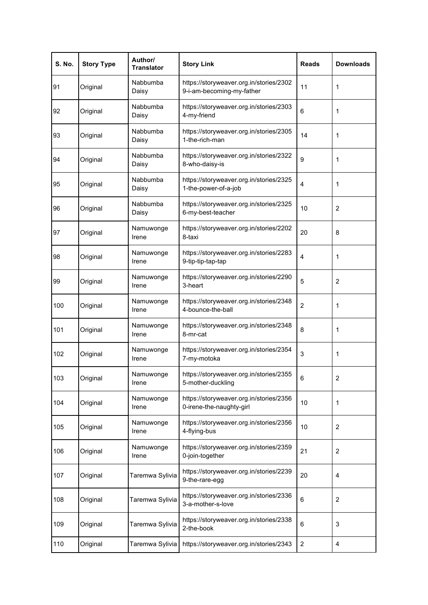| <b>S. No.</b> | <b>Story Type</b> | Author/<br><b>Translator</b> | <b>Story Link</b>                                                    | <b>Reads</b>    | <b>Downloads</b>        |
|---------------|-------------------|------------------------------|----------------------------------------------------------------------|-----------------|-------------------------|
| 91            | Original          | Nabbumba<br>Daisy            | https://storyweaver.org.in/stories/2302<br>9-i-am-becoming-my-father | 11              | 1                       |
| 92            | Original          | Nabbumba<br>Daisy            | https://storyweaver.org.in/stories/2303<br>4-my-friend               | 6               | 1                       |
| 93            | Original          | Nabbumba<br>Daisy            | https://storyweaver.org.in/stories/2305<br>1-the-rich-man            | 14              | 1                       |
| 94            | Original          | Nabbumba<br>Daisy            | https://storyweaver.org.in/stories/2322<br>8-who-daisy-is            | 9               | 1                       |
| 95            | Original          | Nabbumba<br>Daisy            | https://storyweaver.org.in/stories/2325<br>1-the-power-of-a-job      | $\overline{4}$  | 1                       |
| 96            | Original          | Nabbumba<br>Daisy            | https://storyweaver.org.in/stories/2325<br>6-my-best-teacher         | 10              | $\overline{2}$          |
| 97            | Original          | Namuwonge<br>Irene           | https://storyweaver.org.in/stories/2202<br>8-taxi                    | 20              | 8                       |
| 98            | Original          | Namuwonge<br>Irene           | https://storyweaver.org.in/stories/2283<br>9-tip-tip-tap-tap         | $\overline{4}$  | 1                       |
| 99            | Original          | Namuwonge<br>Irene           | https://storyweaver.org.in/stories/2290<br>3-heart                   | 5               | $\overline{2}$          |
| 100           | Original          | Namuwonge<br>Irene           | https://storyweaver.org.in/stories/2348<br>4-bounce-the-ball         | 2               | 1                       |
| 101           | Original          | Namuwonge<br>Irene           | https://storyweaver.org.in/stories/2348<br>8-mr-cat                  | 8               | 1                       |
| 102           | Original          | Namuwonge<br>Irene           | https://storyweaver.org.in/stories/2354<br>7-my-motoka               | 3               | 1                       |
| 103           | Original          | Namuwonge<br>Irene           | https://storyweaver.org.in/stories/2355<br>5-mother-duckling         | $6\phantom{1}6$ | $\overline{\mathbf{c}}$ |
| 104           | Original          | Namuwonge<br>Irene           | https://storyweaver.org.in/stories/2356<br>0-irene-the-naughty-girl  | 10              | 1                       |
| 105           | Original          | Namuwonge<br>Irene           | https://storyweaver.org.in/stories/2356<br>4-flying-bus              | 10              | $\overline{c}$          |
| 106           | Original          | Namuwonge<br>Irene           | https://storyweaver.org.in/stories/2359<br>0-join-together           | 21              | 2                       |
| 107           | Original          | Taremwa Sylivia              | https://storyweaver.org.in/stories/2239<br>9-the-rare-egg            | 20              | $\overline{4}$          |
| 108           | Original          | Taremwa Sylivia              | https://storyweaver.org.in/stories/2336<br>3-a-mother-s-love         | 6               | $\overline{c}$          |
| 109           | Original          | Taremwa Sylivia              | https://storyweaver.org.in/stories/2338<br>2-the-book                | 6               | 3                       |
| 110           | Original          | Taremwa Sylivia              | https://storyweaver.org.in/stories/2343                              | $\overline{c}$  | 4                       |